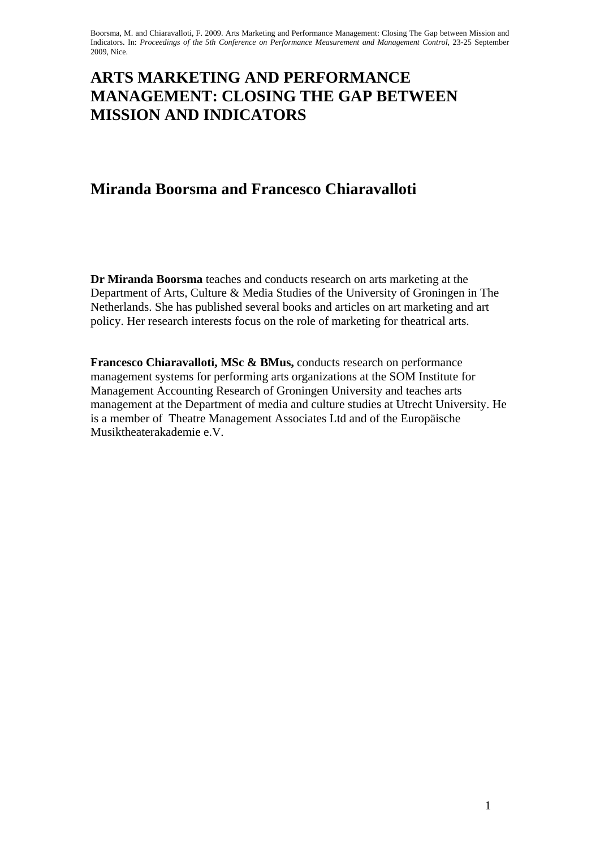# **ARTS MARKETING AND PERFORMANCE MANAGEMENT: CLOSING THE GAP BETWEEN MISSION AND INDICATORS**

### **Miranda Boorsma and Francesco Chiaravalloti**

**Dr Miranda Boorsma** teaches and conducts research on arts marketing at the Department of Arts, Culture & Media Studies of the University of Groningen in The Netherlands. She has published several books and articles on art marketing and art policy. Her research interests focus on the role of marketing for theatrical arts.

**Francesco Chiaravalloti, MSc & BMus,** conducts research on performance management systems for performing arts organizations at the SOM Institute for Management Accounting Research of Groningen University and teaches arts management at the Department of media and culture studies at Utrecht University. He is a member of Theatre Management Associates Ltd and of the Europäische Musiktheaterakademie e.V.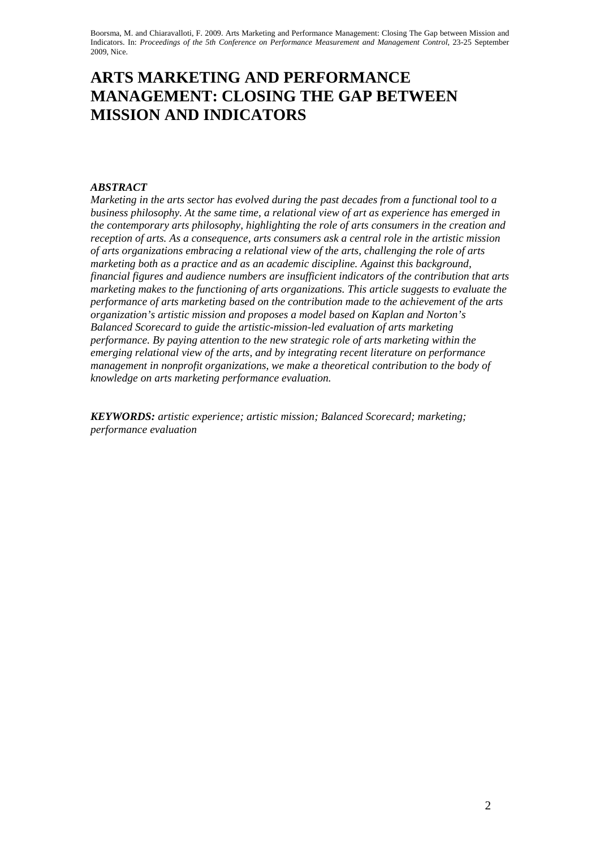# **ARTS MARKETING AND PERFORMANCE MANAGEMENT: CLOSING THE GAP BETWEEN MISSION AND INDICATORS**

#### *ABSTRACT*

*Marketing in the arts sector has evolved during the past decades from a functional tool to a business philosophy. At the same time, a relational view of art as experience has emerged in the contemporary arts philosophy, highlighting the role of arts consumers in the creation and reception of arts. As a consequence, arts consumers ask a central role in the artistic mission of arts organizations embracing a relational view of the arts, challenging the role of arts marketing both as a practice and as an academic discipline. Against this background, financial figures and audience numbers are insufficient indicators of the contribution that arts marketing makes to the functioning of arts organizations. This article suggests to evaluate the performance of arts marketing based on the contribution made to the achievement of the arts organization's artistic mission and proposes a model based on Kaplan and Norton's Balanced Scorecard to guide the artistic-mission-led evaluation of arts marketing performance. By paying attention to the new strategic role of arts marketing within the emerging relational view of the arts, and by integrating recent literature on performance management in nonprofit organizations, we make a theoretical contribution to the body of knowledge on arts marketing performance evaluation.* 

*KEYWORDS: artistic experience; artistic mission; Balanced Scorecard; marketing; performance evaluation*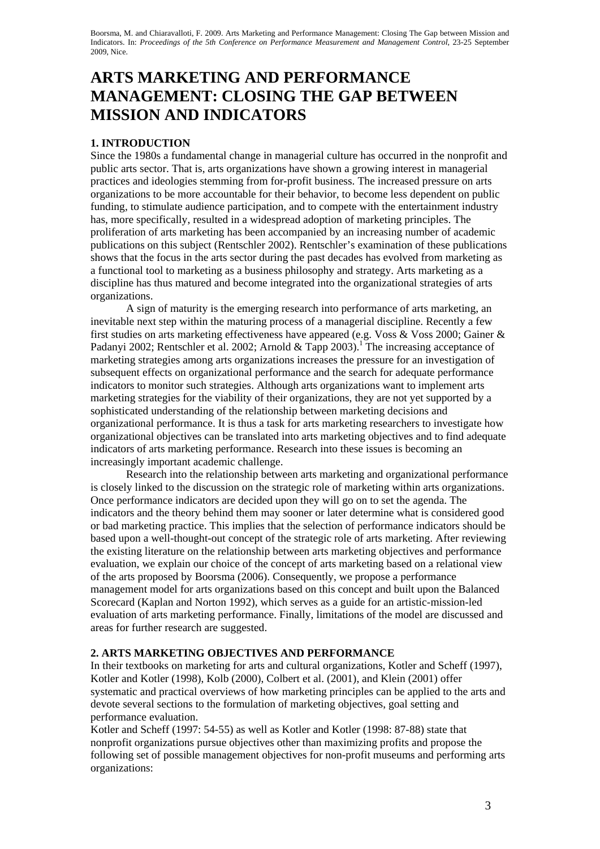# **ARTS MARKETING AND PERFORMANCE MANAGEMENT: CLOSING THE GAP BETWEEN MISSION AND INDICATORS**

#### **1. INTRODUCTION**

Since the 1980s a fundamental change in managerial culture has occurred in the nonprofit and public arts sector. That is, arts organizations have shown a growing interest in managerial practices and ideologies stemming from for-profit business. The increased pressure on arts organizations to be more accountable for their behavior, to become less dependent on public funding, to stimulate audience participation, and to compete with the entertainment industry has, more specifically, resulted in a widespread adoption of marketing principles. The proliferation of arts marketing has been accompanied by an increasing number of academic publications on this subject (Rentschler 2002). Rentschler's examination of these publications shows that the focus in the arts sector during the past decades has evolved from marketing as a functional tool to marketing as a business philosophy and strategy. Arts marketing as a discipline has thus matured and become integrated into the organizational strategies of arts organizations.

A sign of maturity is the emerging research into performance of arts marketing, an inevitable next step within the maturing process of a managerial discipline. Recently a few first studies on arts marketing effectiveness have appeared (e.g. Voss & Voss 2000; Gainer & Padanyi 2002; Rentschler et al. 2002; Arnold & Tapp 2003).<sup>1</sup> The increasing acceptance of marketing strategies among arts organizations increases the pressure for an investigation of subsequent effects on organizational performance and the search for adequate performance indicators to monitor such strategies. Although arts organizations want to implement arts marketing strategies for the viability of their organizations, they are not yet supported by a sophisticated understanding of the relationship between marketing decisions and organizational performance. It is thus a task for arts marketing researchers to investigate how organizational objectives can be translated into arts marketing objectives and to find adequate indicators of arts marketing performance. Research into these issues is becoming an increasingly important academic challenge.

Research into the relationship between arts marketing and organizational performance is closely linked to the discussion on the strategic role of marketing within arts organizations. Once performance indicators are decided upon they will go on to set the agenda. The indicators and the theory behind them may sooner or later determine what is considered good or bad marketing practice. This implies that the selection of performance indicators should be based upon a well-thought-out concept of the strategic role of arts marketing. After reviewing the existing literature on the relationship between arts marketing objectives and performance evaluation, we explain our choice of the concept of arts marketing based on a relational view of the arts proposed by Boorsma (2006). Consequently, we propose a performance management model for arts organizations based on this concept and built upon the Balanced Scorecard (Kaplan and Norton 1992), which serves as a guide for an artistic-mission-led evaluation of arts marketing performance. Finally, limitations of the model are discussed and areas for further research are suggested.

#### **2. ARTS MARKETING OBJECTIVES AND PERFORMANCE**

In their textbooks on marketing for arts and cultural organizations, Kotler and Scheff (1997), Kotler and Kotler (1998), Kolb (2000), Colbert et al. (2001), and Klein (2001) offer systematic and practical overviews of how marketing principles can be applied to the arts and devote several sections to the formulation of marketing objectives, goal setting and performance evaluation.

Kotler and Scheff (1997: 54-55) as well as Kotler and Kotler (1998: 87-88) state that nonprofit organizations pursue objectives other than maximizing profits and propose the following set of possible management objectives for non-profit museums and performing arts organizations: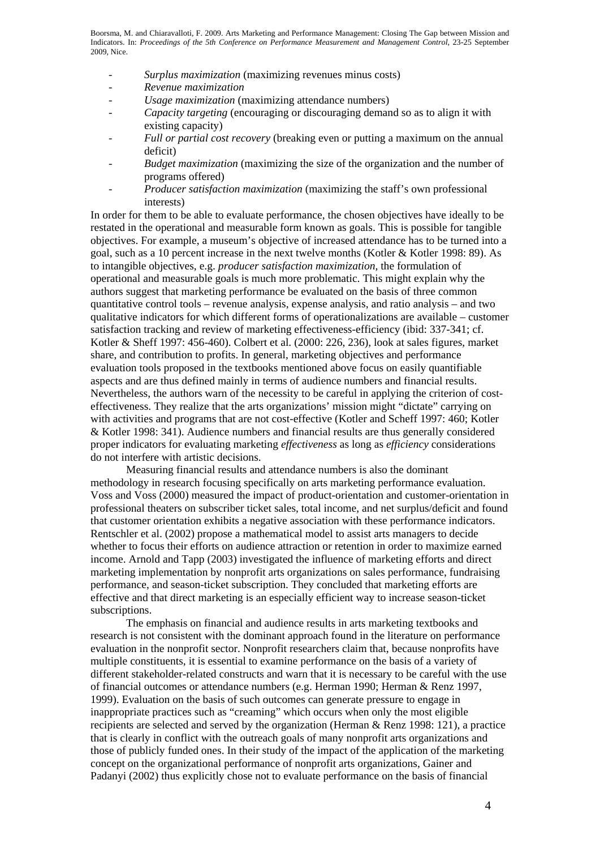- *Surplus maximization* (maximizing revenues minus costs)
- *Revenue maximization*
- *Usage maximization* (maximizing attendance numbers)
- *Capacity targeting* (encouraging or discouraging demand so as to align it with existing capacity)
- *Full or partial cost recovery* (breaking even or putting a maximum on the annual deficit)
- *Budget maximization* (maximizing the size of the organization and the number of programs offered)
- *Producer satisfaction maximization* (maximizing the staff's own professional interests)

In order for them to be able to evaluate performance, the chosen objectives have ideally to be restated in the operational and measurable form known as goals. This is possible for tangible objectives. For example, a museum's objective of increased attendance has to be turned into a goal, such as a 10 percent increase in the next twelve months (Kotler & Kotler 1998: 89). As to intangible objectives, e.g. *producer satisfaction maximization,* the formulation of operational and measurable goals is much more problematic. This might explain why the authors suggest that marketing performance be evaluated on the basis of three common quantitative control tools – revenue analysis, expense analysis, and ratio analysis – and two qualitative indicators for which different forms of operationalizations are available – customer satisfaction tracking and review of marketing effectiveness-efficiency (ibid: 337-341; cf. Kotler & Sheff 1997: 456-460). Colbert et al. (2000: 226, 236), look at sales figures, market share, and contribution to profits. In general, marketing objectives and performance evaluation tools proposed in the textbooks mentioned above focus on easily quantifiable aspects and are thus defined mainly in terms of audience numbers and financial results. Nevertheless, the authors warn of the necessity to be careful in applying the criterion of costeffectiveness. They realize that the arts organizations' mission might "dictate" carrying on with activities and programs that are not cost-effective (Kotler and Scheff 1997: 460; Kotler & Kotler 1998: 341). Audience numbers and financial results are thus generally considered proper indicators for evaluating marketing *effectiveness* as long as *efficiency* considerations do not interfere with artistic decisions.

Measuring financial results and attendance numbers is also the dominant methodology in research focusing specifically on arts marketing performance evaluation. Voss and Voss (2000) measured the impact of product-orientation and customer-orientation in professional theaters on subscriber ticket sales, total income, and net surplus/deficit and found that customer orientation exhibits a negative association with these performance indicators. Rentschler et al. (2002) propose a mathematical model to assist arts managers to decide whether to focus their efforts on audience attraction or retention in order to maximize earned income. Arnold and Tapp (2003) investigated the influence of marketing efforts and direct marketing implementation by nonprofit arts organizations on sales performance, fundraising performance, and season-ticket subscription. They concluded that marketing efforts are effective and that direct marketing is an especially efficient way to increase season-ticket subscriptions.

The emphasis on financial and audience results in arts marketing textbooks and research is not consistent with the dominant approach found in the literature on performance evaluation in the nonprofit sector. Nonprofit researchers claim that, because nonprofits have multiple constituents, it is essential to examine performance on the basis of a variety of different stakeholder-related constructs and warn that it is necessary to be careful with the use of financial outcomes or attendance numbers (e.g. Herman 1990; Herman & Renz 1997, 1999). Evaluation on the basis of such outcomes can generate pressure to engage in inappropriate practices such as "creaming" which occurs when only the most eligible recipients are selected and served by the organization (Herman & Renz 1998: 121), a practice that is clearly in conflict with the outreach goals of many nonprofit arts organizations and those of publicly funded ones. In their study of the impact of the application of the marketing concept on the organizational performance of nonprofit arts organizations, Gainer and Padanyi (2002) thus explicitly chose not to evaluate performance on the basis of financial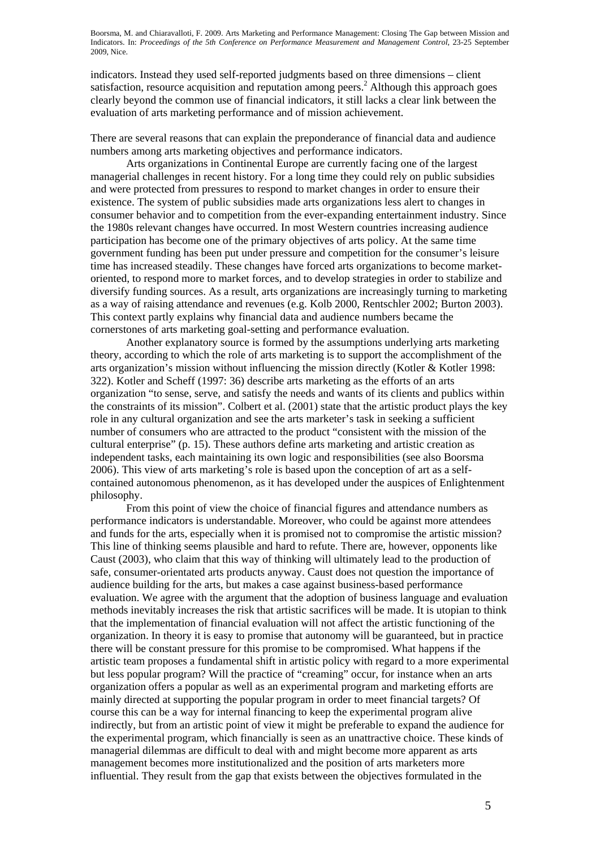indicators. Instead they used self-reported judgments based on three dimensions – client satisfaction, resource acquisition and reputation among peers.<sup>2</sup> Although this approach goes clearly beyond the common use of financial indicators, it still lacks a clear link between the evaluation of arts marketing performance and of mission achievement.

There are several reasons that can explain the preponderance of financial data and audience numbers among arts marketing objectives and performance indicators.

Arts organizations in Continental Europe are currently facing one of the largest managerial challenges in recent history. For a long time they could rely on public subsidies and were protected from pressures to respond to market changes in order to ensure their existence. The system of public subsidies made arts organizations less alert to changes in consumer behavior and to competition from the ever-expanding entertainment industry. Since the 1980s relevant changes have occurred. In most Western countries increasing audience participation has become one of the primary objectives of arts policy. At the same time government funding has been put under pressure and competition for the consumer's leisure time has increased steadily. These changes have forced arts organizations to become marketoriented, to respond more to market forces, and to develop strategies in order to stabilize and diversify funding sources. As a result, arts organizations are increasingly turning to marketing as a way of raising attendance and revenues (e.g. Kolb 2000, Rentschler 2002; Burton 2003). This context partly explains why financial data and audience numbers became the cornerstones of arts marketing goal-setting and performance evaluation.

 Another explanatory source is formed by the assumptions underlying arts marketing theory, according to which the role of arts marketing is to support the accomplishment of the arts organization's mission without influencing the mission directly (Kotler & Kotler 1998: 322). Kotler and Scheff (1997: 36) describe arts marketing as the efforts of an arts organization "to sense, serve, and satisfy the needs and wants of its clients and publics within the constraints of its mission". Colbert et al. (2001) state that the artistic product plays the key role in any cultural organization and see the arts marketer's task in seeking a sufficient number of consumers who are attracted to the product "consistent with the mission of the cultural enterprise" (p. 15). These authors define arts marketing and artistic creation as independent tasks, each maintaining its own logic and responsibilities (see also Boorsma 2006). This view of arts marketing's role is based upon the conception of art as a selfcontained autonomous phenomenon, as it has developed under the auspices of Enlightenment philosophy.

 From this point of view the choice of financial figures and attendance numbers as performance indicators is understandable. Moreover, who could be against more attendees and funds for the arts, especially when it is promised not to compromise the artistic mission? This line of thinking seems plausible and hard to refute. There are, however, opponents like Caust (2003), who claim that this way of thinking will ultimately lead to the production of safe, consumer-orientated arts products anyway. Caust does not question the importance of audience building for the arts, but makes a case against business-based performance evaluation. We agree with the argument that the adoption of business language and evaluation methods inevitably increases the risk that artistic sacrifices will be made. It is utopian to think that the implementation of financial evaluation will not affect the artistic functioning of the organization. In theory it is easy to promise that autonomy will be guaranteed, but in practice there will be constant pressure for this promise to be compromised. What happens if the artistic team proposes a fundamental shift in artistic policy with regard to a more experimental but less popular program? Will the practice of "creaming" occur, for instance when an arts organization offers a popular as well as an experimental program and marketing efforts are mainly directed at supporting the popular program in order to meet financial targets? Of course this can be a way for internal financing to keep the experimental program alive indirectly, but from an artistic point of view it might be preferable to expand the audience for the experimental program, which financially is seen as an unattractive choice. These kinds of managerial dilemmas are difficult to deal with and might become more apparent as arts management becomes more institutionalized and the position of arts marketers more influential. They result from the gap that exists between the objectives formulated in the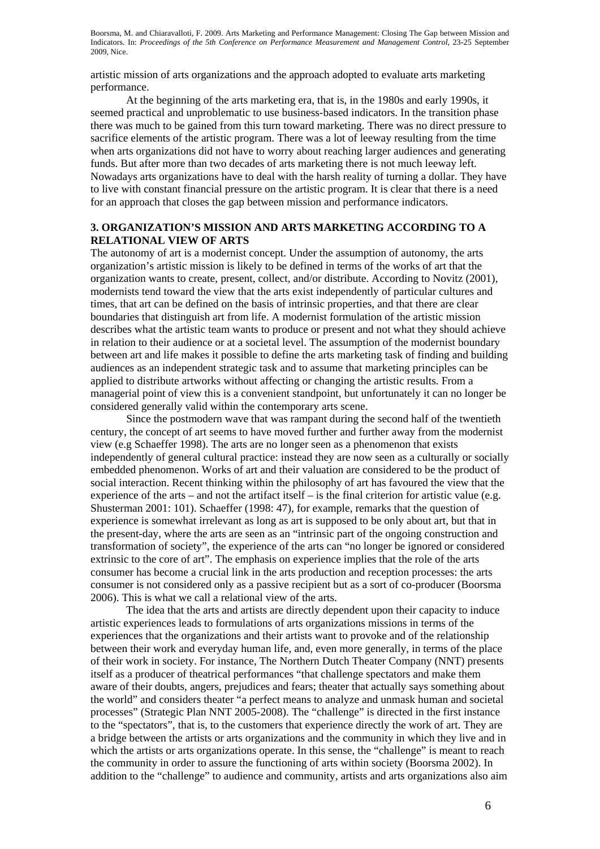artistic mission of arts organizations and the approach adopted to evaluate arts marketing performance.

At the beginning of the arts marketing era, that is, in the 1980s and early 1990s, it seemed practical and unproblematic to use business-based indicators. In the transition phase there was much to be gained from this turn toward marketing. There was no direct pressure to sacrifice elements of the artistic program. There was a lot of leeway resulting from the time when arts organizations did not have to worry about reaching larger audiences and generating funds. But after more than two decades of arts marketing there is not much leeway left. Nowadays arts organizations have to deal with the harsh reality of turning a dollar. They have to live with constant financial pressure on the artistic program. It is clear that there is a need for an approach that closes the gap between mission and performance indicators.

### **3. ORGANIZATION'S MISSION AND ARTS MARKETING ACCORDING TO A RELATIONAL VIEW OF ARTS**

The autonomy of art is a modernist concept. Under the assumption of autonomy, the arts organization's artistic mission is likely to be defined in terms of the works of art that the organization wants to create, present, collect, and/or distribute. According to Novitz (2001), modernists tend toward the view that the arts exist independently of particular cultures and times, that art can be defined on the basis of intrinsic properties, and that there are clear boundaries that distinguish art from life. A modernist formulation of the artistic mission describes what the artistic team wants to produce or present and not what they should achieve in relation to their audience or at a societal level. The assumption of the modernist boundary between art and life makes it possible to define the arts marketing task of finding and building audiences as an independent strategic task and to assume that marketing principles can be applied to distribute artworks without affecting or changing the artistic results. From a managerial point of view this is a convenient standpoint, but unfortunately it can no longer be considered generally valid within the contemporary arts scene.

 Since the postmodern wave that was rampant during the second half of the twentieth century, the concept of art seems to have moved further and further away from the modernist view (e.g Schaeffer 1998). The arts are no longer seen as a phenomenon that exists independently of general cultural practice: instead they are now seen as a culturally or socially embedded phenomenon. Works of art and their valuation are considered to be the product of social interaction. Recent thinking within the philosophy of art has favoured the view that the experience of the arts – and not the artifact itself – is the final criterion for artistic value (e.g. Shusterman 2001: 101). Schaeffer (1998: 47), for example, remarks that the question of experience is somewhat irrelevant as long as art is supposed to be only about art, but that in the present-day, where the arts are seen as an "intrinsic part of the ongoing construction and transformation of society", the experience of the arts can "no longer be ignored or considered extrinsic to the core of art". The emphasis on experience implies that the role of the arts consumer has become a crucial link in the arts production and reception processes: the arts consumer is not considered only as a passive recipient but as a sort of co-producer (Boorsma 2006). This is what we call a relational view of the arts.

The idea that the arts and artists are directly dependent upon their capacity to induce artistic experiences leads to formulations of arts organizations missions in terms of the experiences that the organizations and their artists want to provoke and of the relationship between their work and everyday human life, and, even more generally, in terms of the place of their work in society. For instance, The Northern Dutch Theater Company (NNT) presents itself as a producer of theatrical performances "that challenge spectators and make them aware of their doubts, angers, prejudices and fears; theater that actually says something about the world" and considers theater "a perfect means to analyze and unmask human and societal processes" (Strategic Plan NNT 2005-2008). The "challenge" is directed in the first instance to the "spectators", that is, to the customers that experience directly the work of art. They are a bridge between the artists or arts organizations and the community in which they live and in which the artists or arts organizations operate. In this sense, the "challenge" is meant to reach the community in order to assure the functioning of arts within society (Boorsma 2002). In addition to the "challenge" to audience and community, artists and arts organizations also aim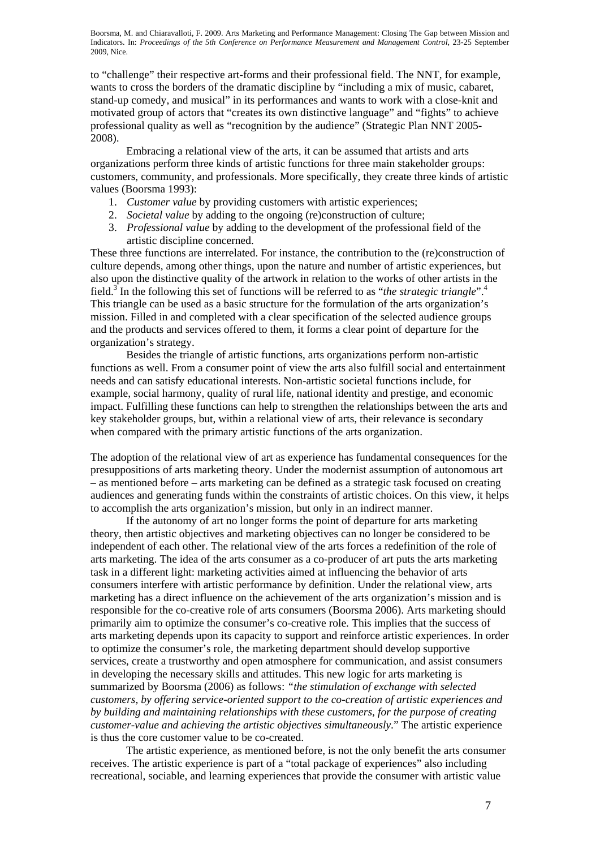to "challenge" their respective art-forms and their professional field. The NNT, for example, wants to cross the borders of the dramatic discipline by "including a mix of music, cabaret, stand-up comedy, and musical" in its performances and wants to work with a close-knit and motivated group of actors that "creates its own distinctive language" and "fights" to achieve professional quality as well as "recognition by the audience" (Strategic Plan NNT 2005- 2008).

 Embracing a relational view of the arts, it can be assumed that artists and arts organizations perform three kinds of artistic functions for three main stakeholder groups: customers, community, and professionals. More specifically, they create three kinds of artistic values (Boorsma 1993):

- 1. *Customer value* by providing customers with artistic experiences;
- 2. *Societal value* by adding to the ongoing (re)construction of culture;
- 3. *Professional value* by adding to the development of the professional field of the artistic discipline concerned.

These three functions are interrelated. For instance, the contribution to the (re)construction of culture depends, among other things, upon the nature and number of artistic experiences, but also upon the distinctive quality of the artwork in relation to the works of other artists in the field.<sup>3</sup> In the following this set of functions will be referred to as "*the strategic triangle*".<sup>4</sup> This triangle can be used as a basic structure for the formulation of the arts organization's mission. Filled in and completed with a clear specification of the selected audience groups and the products and services offered to them, it forms a clear point of departure for the organization's strategy.

Besides the triangle of artistic functions, arts organizations perform non-artistic functions as well. From a consumer point of view the arts also fulfill social and entertainment needs and can satisfy educational interests. Non-artistic societal functions include, for example, social harmony, quality of rural life, national identity and prestige, and economic impact. Fulfilling these functions can help to strengthen the relationships between the arts and key stakeholder groups, but, within a relational view of arts, their relevance is secondary when compared with the primary artistic functions of the arts organization.

The adoption of the relational view of art as experience has fundamental consequences for the presuppositions of arts marketing theory. Under the modernist assumption of autonomous art – as mentioned before – arts marketing can be defined as a strategic task focused on creating audiences and generating funds within the constraints of artistic choices. On this view, it helps to accomplish the arts organization's mission, but only in an indirect manner.

If the autonomy of art no longer forms the point of departure for arts marketing theory, then artistic objectives and marketing objectives can no longer be considered to be independent of each other. The relational view of the arts forces a redefinition of the role of arts marketing. The idea of the arts consumer as a co-producer of art puts the arts marketing task in a different light: marketing activities aimed at influencing the behavior of arts consumers interfere with artistic performance by definition. Under the relational view, arts marketing has a direct influence on the achievement of the arts organization's mission and is responsible for the co-creative role of arts consumers (Boorsma 2006). Arts marketing should primarily aim to optimize the consumer's co-creative role. This implies that the success of arts marketing depends upon its capacity to support and reinforce artistic experiences. In order to optimize the consumer's role, the marketing department should develop supportive services, create a trustworthy and open atmosphere for communication, and assist consumers in developing the necessary skills and attitudes. This new logic for arts marketing is summarized by Boorsma (2006) as follows: *"the stimulation of exchange with selected customers, by offering service-oriented support to the co-creation of artistic experiences and by building and maintaining relationships with these customers, for the purpose of creating customer-value and achieving the artistic objectives simultaneously*." The artistic experience is thus the core customer value to be co-created.

The artistic experience, as mentioned before, is not the only benefit the arts consumer receives. The artistic experience is part of a "total package of experiences" also including recreational, sociable, and learning experiences that provide the consumer with artistic value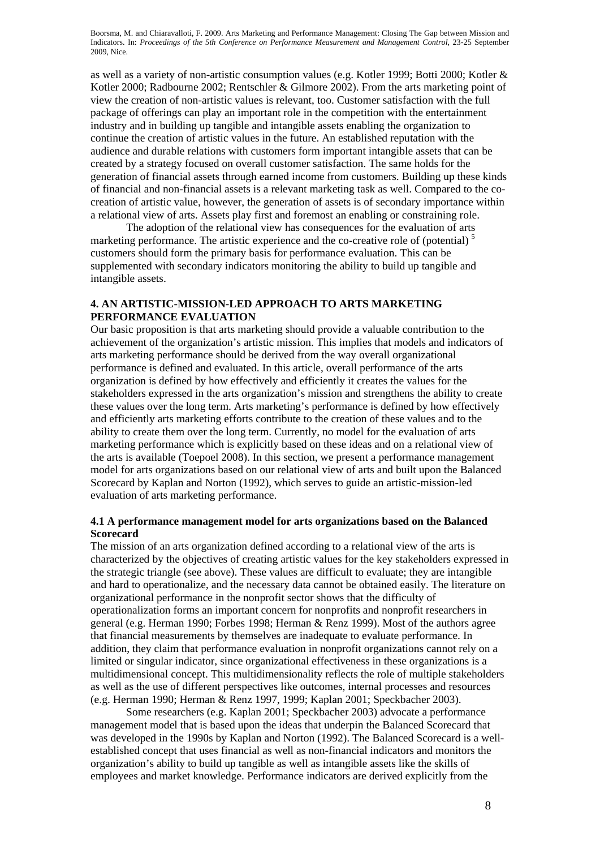as well as a variety of non-artistic consumption values (e.g. Kotler 1999; Botti 2000; Kotler & Kotler 2000; Radbourne 2002; Rentschler & Gilmore 2002). From the arts marketing point of view the creation of non-artistic values is relevant, too. Customer satisfaction with the full package of offerings can play an important role in the competition with the entertainment industry and in building up tangible and intangible assets enabling the organization to continue the creation of artistic values in the future. An established reputation with the audience and durable relations with customers form important intangible assets that can be created by a strategy focused on overall customer satisfaction. The same holds for the generation of financial assets through earned income from customers. Building up these kinds of financial and non-financial assets is a relevant marketing task as well. Compared to the cocreation of artistic value, however, the generation of assets is of secondary importance within a relational view of arts. Assets play first and foremost an enabling or constraining role.

 The adoption of the relational view has consequences for the evaluation of arts marketing performance. The artistic experience and the co-creative role of (potential)  $\frac{5}{1}$ customers should form the primary basis for performance evaluation. This can be supplemented with secondary indicators monitoring the ability to build up tangible and intangible assets.

#### **4. AN ARTISTIC-MISSION-LED APPROACH TO ARTS MARKETING PERFORMANCE EVALUATION**

Our basic proposition is that arts marketing should provide a valuable contribution to the achievement of the organization's artistic mission. This implies that models and indicators of arts marketing performance should be derived from the way overall organizational performance is defined and evaluated. In this article, overall performance of the arts organization is defined by how effectively and efficiently it creates the values for the stakeholders expressed in the arts organization's mission and strengthens the ability to create these values over the long term. Arts marketing's performance is defined by how effectively and efficiently arts marketing efforts contribute to the creation of these values and to the ability to create them over the long term. Currently, no model for the evaluation of arts marketing performance which is explicitly based on these ideas and on a relational view of the arts is available (Toepoel 2008). In this section, we present a performance management model for arts organizations based on our relational view of arts and built upon the Balanced Scorecard by Kaplan and Norton (1992), which serves to guide an artistic-mission-led evaluation of arts marketing performance.

#### **4.1 A performance management model for arts organizations based on the Balanced Scorecard**

The mission of an arts organization defined according to a relational view of the arts is characterized by the objectives of creating artistic values for the key stakeholders expressed in the strategic triangle (see above). These values are difficult to evaluate; they are intangible and hard to operationalize, and the necessary data cannot be obtained easily. The literature on organizational performance in the nonprofit sector shows that the difficulty of operationalization forms an important concern for nonprofits and nonprofit researchers in general (e.g. Herman 1990; Forbes 1998; Herman & Renz 1999). Most of the authors agree that financial measurements by themselves are inadequate to evaluate performance. In addition, they claim that performance evaluation in nonprofit organizations cannot rely on a limited or singular indicator, since organizational effectiveness in these organizations is a multidimensional concept. This multidimensionality reflects the role of multiple stakeholders as well as the use of different perspectives like outcomes, internal processes and resources (e.g. Herman 1990; Herman & Renz 1997, 1999; Kaplan 2001; Speckbacher 2003).

Some researchers (e.g. Kaplan 2001; Speckbacher 2003) advocate a performance management model that is based upon the ideas that underpin the Balanced Scorecard that was developed in the 1990s by Kaplan and Norton (1992). The Balanced Scorecard is a wellestablished concept that uses financial as well as non-financial indicators and monitors the organization's ability to build up tangible as well as intangible assets like the skills of employees and market knowledge. Performance indicators are derived explicitly from the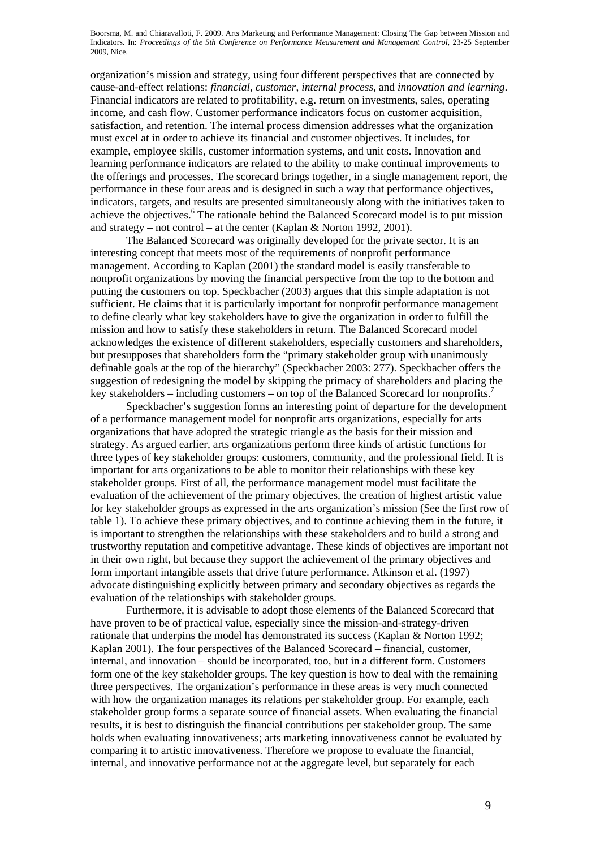organization's mission and strategy, using four different perspectives that are connected by cause-and-effect relations: *financial*, *customer*, *internal process*, and *innovation and learning*. Financial indicators are related to profitability, e.g. return on investments, sales, operating income, and cash flow. Customer performance indicators focus on customer acquisition, satisfaction, and retention. The internal process dimension addresses what the organization must excel at in order to achieve its financial and customer objectives. It includes, for example, employee skills, customer information systems, and unit costs. Innovation and learning performance indicators are related to the ability to make continual improvements to the offerings and processes. The scorecard brings together, in a single management report, the performance in these four areas and is designed in such a way that performance objectives, indicators, targets, and results are presented simultaneously along with the initiatives taken to achieve the objectives.<sup>6</sup> The rationale behind the Balanced Scorecard model is to put mission and strategy – not control – at the center (Kaplan & Norton 1992, 2001).

The Balanced Scorecard was originally developed for the private sector. It is an interesting concept that meets most of the requirements of nonprofit performance management. According to Kaplan (2001) the standard model is easily transferable to nonprofit organizations by moving the financial perspective from the top to the bottom and putting the customers on top. Speckbacher (2003) argues that this simple adaptation is not sufficient. He claims that it is particularly important for nonprofit performance management to define clearly what key stakeholders have to give the organization in order to fulfill the mission and how to satisfy these stakeholders in return. The Balanced Scorecard model acknowledges the existence of different stakeholders, especially customers and shareholders, but presupposes that shareholders form the "primary stakeholder group with unanimously definable goals at the top of the hierarchy" (Speckbacher 2003: 277). Speckbacher offers the suggestion of redesigning the model by skipping the primacy of shareholders and placing the key stakeholders – including customers – on top of the Balanced Scorecard for nonprofits.7

Speckbacher's suggestion forms an interesting point of departure for the development of a performance management model for nonprofit arts organizations, especially for arts organizations that have adopted the strategic triangle as the basis for their mission and strategy. As argued earlier, arts organizations perform three kinds of artistic functions for three types of key stakeholder groups: customers, community, and the professional field. It is important for arts organizations to be able to monitor their relationships with these key stakeholder groups. First of all, the performance management model must facilitate the evaluation of the achievement of the primary objectives, the creation of highest artistic value for key stakeholder groups as expressed in the arts organization's mission (See the first row of table 1). To achieve these primary objectives, and to continue achieving them in the future, it is important to strengthen the relationships with these stakeholders and to build a strong and trustworthy reputation and competitive advantage. These kinds of objectives are important not in their own right, but because they support the achievement of the primary objectives and form important intangible assets that drive future performance. Atkinson et al. (1997) advocate distinguishing explicitly between primary and secondary objectives as regards the evaluation of the relationships with stakeholder groups.

Furthermore, it is advisable to adopt those elements of the Balanced Scorecard that have proven to be of practical value, especially since the mission-and-strategy-driven rationale that underpins the model has demonstrated its success (Kaplan & Norton 1992; Kaplan 2001). The four perspectives of the Balanced Scorecard – financial, customer, internal, and innovation – should be incorporated, too, but in a different form. Customers form one of the key stakeholder groups. The key question is how to deal with the remaining three perspectives. The organization's performance in these areas is very much connected with how the organization manages its relations per stakeholder group. For example, each stakeholder group forms a separate source of financial assets. When evaluating the financial results, it is best to distinguish the financial contributions per stakeholder group. The same holds when evaluating innovativeness; arts marketing innovativeness cannot be evaluated by comparing it to artistic innovativeness. Therefore we propose to evaluate the financial, internal, and innovative performance not at the aggregate level, but separately for each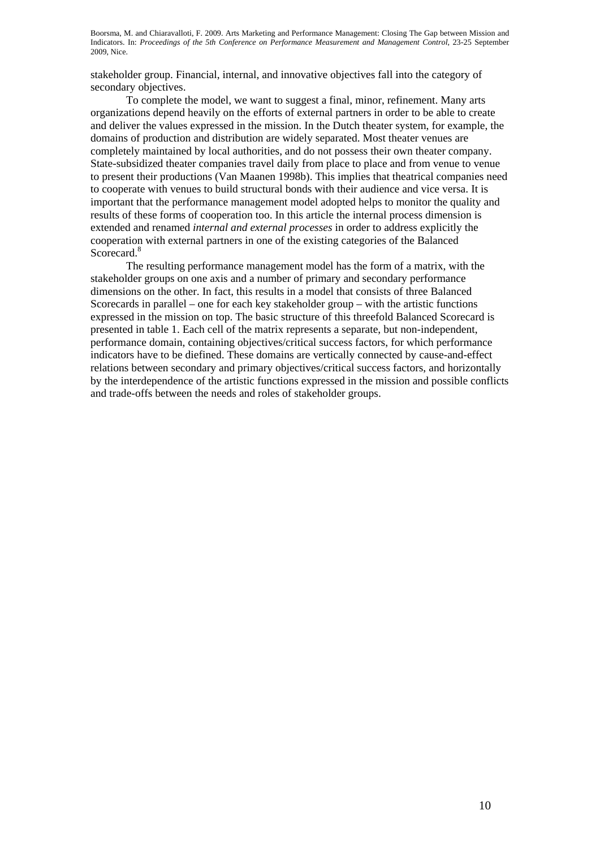stakeholder group. Financial, internal, and innovative objectives fall into the category of secondary objectives.

To complete the model, we want to suggest a final, minor, refinement. Many arts organizations depend heavily on the efforts of external partners in order to be able to create and deliver the values expressed in the mission. In the Dutch theater system, for example, the domains of production and distribution are widely separated. Most theater venues are completely maintained by local authorities, and do not possess their own theater company. State-subsidized theater companies travel daily from place to place and from venue to venue to present their productions (Van Maanen 1998b). This implies that theatrical companies need to cooperate with venues to build structural bonds with their audience and vice versa. It is important that the performance management model adopted helps to monitor the quality and results of these forms of cooperation too. In this article the internal process dimension is extended and renamed *internal and external processes* in order to address explicitly the cooperation with external partners in one of the existing categories of the Balanced Scorecard.<sup>8</sup>

The resulting performance management model has the form of a matrix, with the stakeholder groups on one axis and a number of primary and secondary performance dimensions on the other. In fact, this results in a model that consists of three Balanced Scorecards in parallel – one for each key stakeholder group – with the artistic functions expressed in the mission on top. The basic structure of this threefold Balanced Scorecard is presented in table 1. Each cell of the matrix represents a separate, but non-independent, performance domain, containing objectives/critical success factors, for which performance indicators have to be diefined. These domains are vertically connected by cause-and-effect relations between secondary and primary objectives/critical success factors, and horizontally by the interdependence of the artistic functions expressed in the mission and possible conflicts and trade-offs between the needs and roles of stakeholder groups.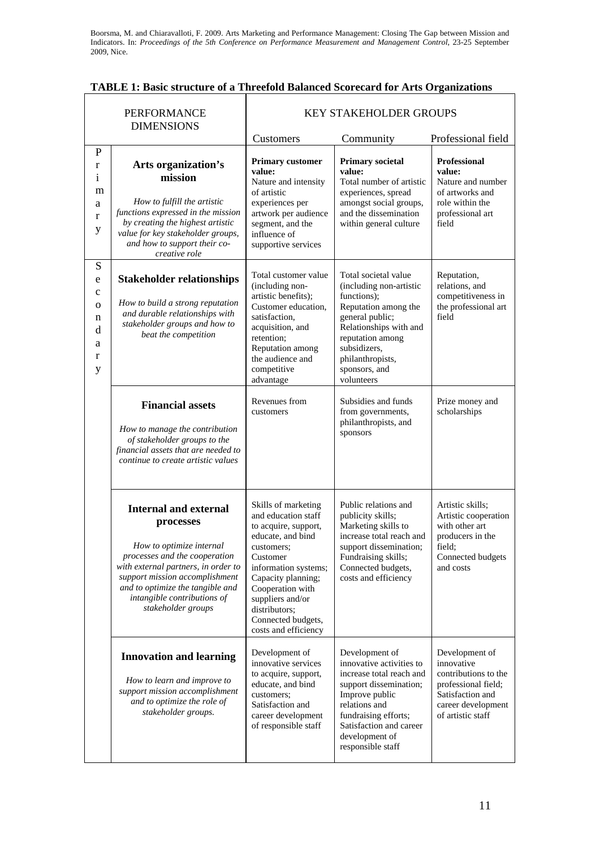| <b>PERFORMANCE</b><br><b>DIMENSIONS</b>             |                                                                                                                                                                                                                                                                          | <b>KEY STAKEHOLDER GROUPS</b>                                                                                                                                                                                                                                          |                                                                                                                                                                                                                               |                                                                                                                                            |
|-----------------------------------------------------|--------------------------------------------------------------------------------------------------------------------------------------------------------------------------------------------------------------------------------------------------------------------------|------------------------------------------------------------------------------------------------------------------------------------------------------------------------------------------------------------------------------------------------------------------------|-------------------------------------------------------------------------------------------------------------------------------------------------------------------------------------------------------------------------------|--------------------------------------------------------------------------------------------------------------------------------------------|
|                                                     |                                                                                                                                                                                                                                                                          | Customers                                                                                                                                                                                                                                                              | Community                                                                                                                                                                                                                     | Professional field                                                                                                                         |
| P<br>r<br>$\mathbf{1}$<br>m<br>a<br>r<br>y          | Arts organization's<br>mission<br>How to fulfill the artistic<br>functions expressed in the mission<br>by creating the highest artistic<br>value for key stakeholder groups,<br>and how to support their co-<br>creative role                                            | <b>Primary customer</b><br>value:<br>Nature and intensity<br>of artistic<br>experiences per<br>artwork per audience<br>segment, and the<br>influence of<br>supportive services                                                                                         | <b>Primary societal</b><br>value:<br>Total number of artistic<br>experiences, spread<br>amongst social groups,<br>and the dissemination<br>within general culture                                                             | <b>Professional</b><br>value:<br>Nature and number<br>of artworks and<br>role within the<br>professional art<br>field                      |
| S<br>e<br>$\mathbf c$<br>0<br>n<br>d<br>a<br>r<br>y | <b>Stakeholder relationships</b><br>How to build a strong reputation<br>and durable relationships with<br>stakeholder groups and how to<br>beat the competition                                                                                                          | Total customer value<br>(including non-<br>artistic benefits);<br>Customer education,<br>satisfaction.<br>acquisition, and<br>retention;<br>Reputation among<br>the audience and<br>competitive<br>advantage                                                           | Total societal value<br>(including non-artistic<br>functions);<br>Reputation among the<br>general public;<br>Relationships with and<br>reputation among<br>subsidizers,<br>philanthropists,<br>sponsors, and<br>volunteers    | Reputation,<br>relations, and<br>competitiveness in<br>the professional art<br>field                                                       |
|                                                     | <b>Financial assets</b><br>How to manage the contribution<br>of stakeholder groups to the<br>financial assets that are needed to<br>continue to create artistic values                                                                                                   | Revenues from<br>customers                                                                                                                                                                                                                                             | Subsidies and funds<br>from governments,<br>philanthropists, and<br>sponsors                                                                                                                                                  | Prize money and<br>scholarships                                                                                                            |
|                                                     | <b>Internal and external</b><br>processes<br>How to optimize internal<br>processes and the cooperation<br>with external partners, in order to<br>support mission accomplishment<br>and to optimize the tangible and<br>intangible contributions of<br>stakeholder groups | Skills of marketing<br>and education staff<br>to acquire, support,<br>educate, and bind<br>customers;<br>Customer<br>information systems;<br>Capacity planning;<br>Cooperation with<br>suppliers and/or<br>distributors;<br>Connected budgets,<br>costs and efficiency | Public relations and<br>publicity skills;<br>Marketing skills to<br>increase total reach and<br>support dissemination;<br>Fundraising skills;<br>Connected budgets,<br>costs and efficiency                                   | Artistic skills;<br>Artistic cooperation<br>with other art<br>producers in the<br>field;<br>Connected budgets<br>and costs                 |
|                                                     | <b>Innovation and learning</b><br>How to learn and improve to<br>support mission accomplishment<br>and to optimize the role of<br>stakeholder groups.                                                                                                                    | Development of<br>innovative services<br>to acquire, support,<br>educate, and bind<br>customers;<br>Satisfaction and<br>career development<br>of responsible staff                                                                                                     | Development of<br>innovative activities to<br>increase total reach and<br>support dissemination;<br>Improve public<br>relations and<br>fundraising efforts;<br>Satisfaction and career<br>development of<br>responsible staff | Development of<br>innovative<br>contributions to the<br>professional field;<br>Satisfaction and<br>career development<br>of artistic staff |

### **TABLE 1: Basic structure of a Threefold Balanced Scorecard for Arts Organizations**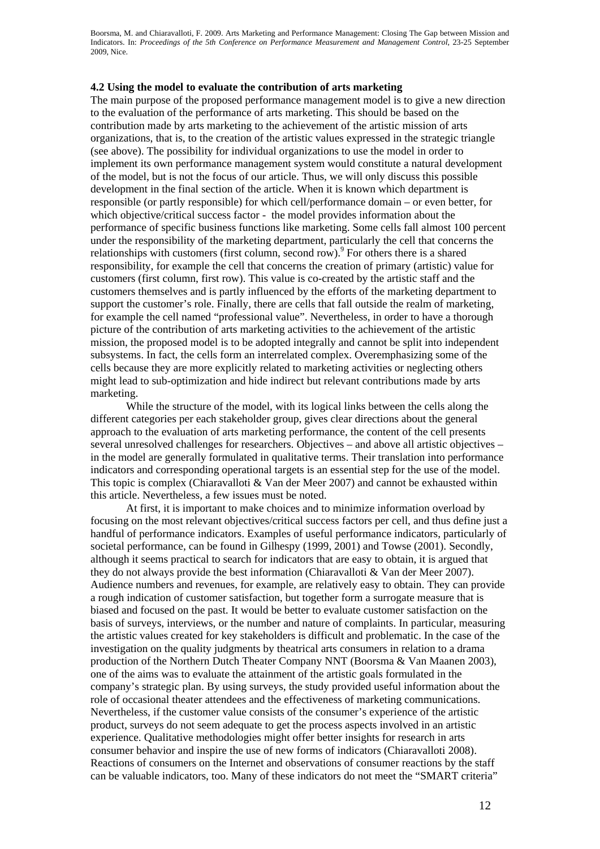#### **4.2 Using the model to evaluate the contribution of arts marketing**

The main purpose of the proposed performance management model is to give a new direction to the evaluation of the performance of arts marketing. This should be based on the contribution made by arts marketing to the achievement of the artistic mission of arts organizations, that is, to the creation of the artistic values expressed in the strategic triangle (see above). The possibility for individual organizations to use the model in order to implement its own performance management system would constitute a natural development of the model, but is not the focus of our article. Thus, we will only discuss this possible development in the final section of the article. When it is known which department is responsible (or partly responsible) for which cell/performance domain – or even better, for which objective/critical success factor - the model provides information about the performance of specific business functions like marketing. Some cells fall almost 100 percent under the responsibility of the marketing department, particularly the cell that concerns the relationships with customers (first column, second row).  $9^9$  For others there is a shared responsibility, for example the cell that concerns the creation of primary (artistic) value for customers (first column, first row). This value is co-created by the artistic staff and the customers themselves and is partly influenced by the efforts of the marketing department to support the customer's role. Finally, there are cells that fall outside the realm of marketing, for example the cell named "professional value". Nevertheless, in order to have a thorough picture of the contribution of arts marketing activities to the achievement of the artistic mission, the proposed model is to be adopted integrally and cannot be split into independent subsystems. In fact, the cells form an interrelated complex. Overemphasizing some of the cells because they are more explicitly related to marketing activities or neglecting others might lead to sub-optimization and hide indirect but relevant contributions made by arts marketing.

While the structure of the model, with its logical links between the cells along the different categories per each stakeholder group, gives clear directions about the general approach to the evaluation of arts marketing performance, the content of the cell presents several unresolved challenges for researchers. Objectives – and above all artistic objectives – in the model are generally formulated in qualitative terms. Their translation into performance indicators and corresponding operational targets is an essential step for the use of the model. This topic is complex (Chiaravalloti & Van der Meer 2007) and cannot be exhausted within this article. Nevertheless, a few issues must be noted.

At first, it is important to make choices and to minimize information overload by focusing on the most relevant objectives/critical success factors per cell, and thus define just a handful of performance indicators. Examples of useful performance indicators, particularly of societal performance, can be found in Gilhespy (1999, 2001) and Towse (2001). Secondly, although it seems practical to search for indicators that are easy to obtain, it is argued that they do not always provide the best information (Chiaravalloti & Van der Meer 2007). Audience numbers and revenues, for example, are relatively easy to obtain. They can provide a rough indication of customer satisfaction, but together form a surrogate measure that is biased and focused on the past. It would be better to evaluate customer satisfaction on the basis of surveys, interviews, or the number and nature of complaints. In particular, measuring the artistic values created for key stakeholders is difficult and problematic. In the case of the investigation on the quality judgments by theatrical arts consumers in relation to a drama production of the Northern Dutch Theater Company NNT (Boorsma & Van Maanen 2003), one of the aims was to evaluate the attainment of the artistic goals formulated in the company's strategic plan. By using surveys, the study provided useful information about the role of occasional theater attendees and the effectiveness of marketing communications. Nevertheless, if the customer value consists of the consumer's experience of the artistic product, surveys do not seem adequate to get the process aspects involved in an artistic experience. Qualitative methodologies might offer better insights for research in arts consumer behavior and inspire the use of new forms of indicators (Chiaravalloti 2008). Reactions of consumers on the Internet and observations of consumer reactions by the staff can be valuable indicators, too. Many of these indicators do not meet the "SMART criteria"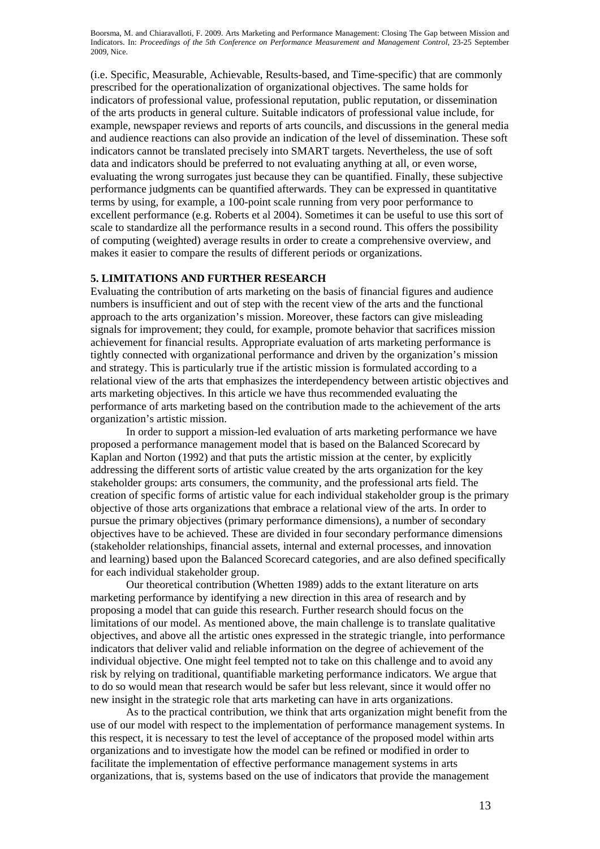(i.e. Specific, Measurable, Achievable, Results-based, and Time-specific) that are commonly prescribed for the operationalization of organizational objectives. The same holds for indicators of professional value, professional reputation, public reputation, or dissemination of the arts products in general culture. Suitable indicators of professional value include, for example, newspaper reviews and reports of arts councils, and discussions in the general media and audience reactions can also provide an indication of the level of dissemination. These soft indicators cannot be translated precisely into SMART targets. Nevertheless, the use of soft data and indicators should be preferred to not evaluating anything at all, or even worse, evaluating the wrong surrogates just because they can be quantified. Finally, these subjective performance judgments can be quantified afterwards. They can be expressed in quantitative terms by using, for example, a 100-point scale running from very poor performance to excellent performance (e.g. Roberts et al 2004). Sometimes it can be useful to use this sort of scale to standardize all the performance results in a second round. This offers the possibility of computing (weighted) average results in order to create a comprehensive overview, and makes it easier to compare the results of different periods or organizations.

#### **5. LIMITATIONS AND FURTHER RESEARCH**

Evaluating the contribution of arts marketing on the basis of financial figures and audience numbers is insufficient and out of step with the recent view of the arts and the functional approach to the arts organization's mission. Moreover, these factors can give misleading signals for improvement; they could, for example, promote behavior that sacrifices mission achievement for financial results. Appropriate evaluation of arts marketing performance is tightly connected with organizational performance and driven by the organization's mission and strategy. This is particularly true if the artistic mission is formulated according to a relational view of the arts that emphasizes the interdependency between artistic objectives and arts marketing objectives. In this article we have thus recommended evaluating the performance of arts marketing based on the contribution made to the achievement of the arts organization's artistic mission.

In order to support a mission-led evaluation of arts marketing performance we have proposed a performance management model that is based on the Balanced Scorecard by Kaplan and Norton (1992) and that puts the artistic mission at the center, by explicitly addressing the different sorts of artistic value created by the arts organization for the key stakeholder groups: arts consumers, the community, and the professional arts field. The creation of specific forms of artistic value for each individual stakeholder group is the primary objective of those arts organizations that embrace a relational view of the arts. In order to pursue the primary objectives (primary performance dimensions), a number of secondary objectives have to be achieved. These are divided in four secondary performance dimensions (stakeholder relationships, financial assets, internal and external processes, and innovation and learning) based upon the Balanced Scorecard categories, and are also defined specifically for each individual stakeholder group.

Our theoretical contribution (Whetten 1989) adds to the extant literature on arts marketing performance by identifying a new direction in this area of research and by proposing a model that can guide this research. Further research should focus on the limitations of our model. As mentioned above, the main challenge is to translate qualitative objectives, and above all the artistic ones expressed in the strategic triangle, into performance indicators that deliver valid and reliable information on the degree of achievement of the individual objective. One might feel tempted not to take on this challenge and to avoid any risk by relying on traditional, quantifiable marketing performance indicators. We argue that to do so would mean that research would be safer but less relevant, since it would offer no new insight in the strategic role that arts marketing can have in arts organizations.

As to the practical contribution, we think that arts organization might benefit from the use of our model with respect to the implementation of performance management systems. In this respect, it is necessary to test the level of acceptance of the proposed model within arts organizations and to investigate how the model can be refined or modified in order to facilitate the implementation of effective performance management systems in arts organizations, that is, systems based on the use of indicators that provide the management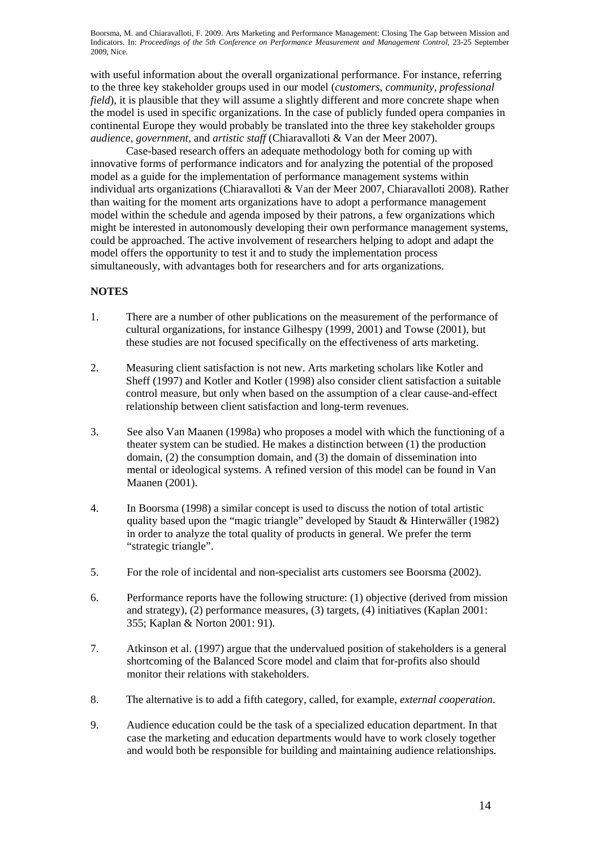with useful information about the overall organizational performance. For instance, referring to the three key stakeholder groups used in our model (*customers, community, professional field*), it is plausible that they will assume a slightly different and more concrete shape when the model is used in specific organizations. In the case of publicly funded opera companies in continental Europe they would probably be translated into the three key stakeholder groups *audience*, *government*, and *artistic staff* (Chiaravalloti & Van der Meer 2007).

Case-based research offers an adequate methodology both for coming up with innovative forms of performance indicators and for analyzing the potential of the proposed model as a guide for the implementation of performance management systems within individual arts organizations (Chiaravalloti & Van der Meer 2007, Chiaravalloti 2008). Rather than waiting for the moment arts organizations have to adopt a performance management model within the schedule and agenda imposed by their patrons, a few organizations which might be interested in autonomously developing their own performance management systems, could be approached. The active involvement of researchers helping to adopt and adapt the model offers the opportunity to test it and to study the implementation process simultaneously, with advantages both for researchers and for arts organizations.

### **NOTES**

- 1. There are a number of other publications on the measurement of the performance of cultural organizations, for instance Gilhespy (1999, 2001) and Towse (2001), but these studies are not focused specifically on the effectiveness of arts marketing.
- 2. Measuring client satisfaction is not new. Arts marketing scholars like Kotler and Sheff (1997) and Kotler and Kotler (1998) also consider client satisfaction a suitable control measure, but only when based on the assumption of a clear cause-and-effect relationship between client satisfaction and long-term revenues.
- 3. See also Van Maanen (1998a) who proposes a model with which the functioning of a theater system can be studied. He makes a distinction between (1) the production domain, (2) the consumption domain, and (3) the domain of dissemination into mental or ideological systems. A refined version of this model can be found in Van Maanen (2001).
- 4. In Boorsma (1998) a similar concept is used to discuss the notion of total artistic quality based upon the "magic triangle" developed by Staudt & Hinterwäller (1982) in order to analyze the total quality of products in general. We prefer the term "strategic triangle".
- 5. For the role of incidental and non-specialist arts customers see Boorsma (2002).
- 6. Performance reports have the following structure: (1) objective (derived from mission and strategy), (2) performance measures, (3) targets, (4) initiatives (Kaplan 2001: 355; Kaplan & Norton 2001: 91).
- 7. Atkinson et al. (1997) argue that the undervalued position of stakeholders is a general shortcoming of the Balanced Score model and claim that for-profits also should monitor their relations with stakeholders.
- 8. The alternative is to add a fifth category, called, for example, *external cooperation*.
- 9. Audience education could be the task of a specialized education department. In that case the marketing and education departments would have to work closely together and would both be responsible for building and maintaining audience relationships.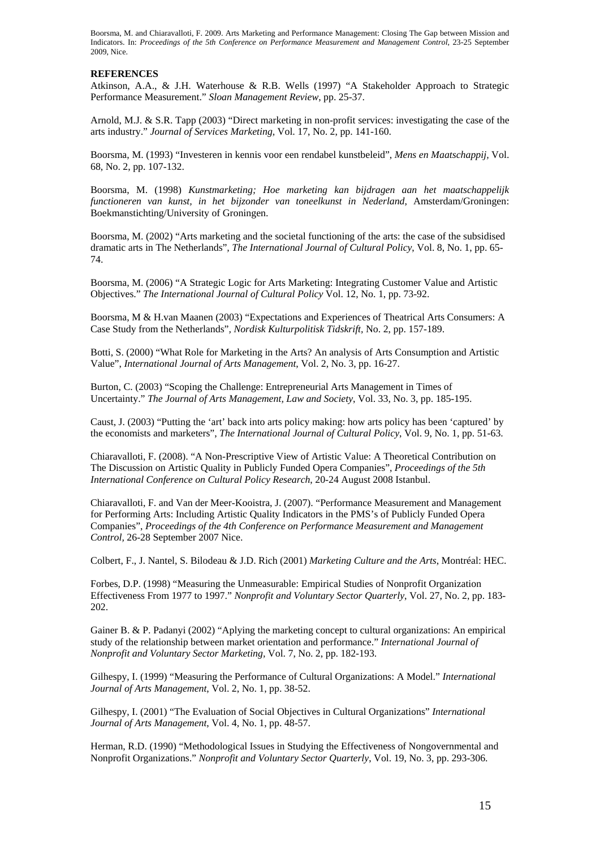#### **REFERENCES**

Atkinson, A.A., & J.H. Waterhouse & R.B. Wells (1997) "A Stakeholder Approach to Strategic Performance Measurement." *Sloan Management Review*, pp. 25-37.

Arnold, M.J. & S.R. Tapp (2003) "Direct marketing in non-profit services: investigating the case of the arts industry." *Journal of Services Marketing,* Vol. 17, No. 2, pp. 141-160.

Boorsma, M. (1993) "Investeren in kennis voor een rendabel kunstbeleid", *Mens en Maatschappij,* Vol. 68, No. 2, pp. 107-132.

Boorsma, M. (1998) *Kunstmarketing; Hoe marketing kan bijdragen aan het maatschappelijk functioneren van kunst, in het bijzonder van toneelkunst in Nederland*, Amsterdam/Groningen: Boekmanstichting/University of Groningen.

Boorsma, M. (2002) "Arts marketing and the societal functioning of the arts: the case of the subsidised dramatic arts in The Netherlands"*, The International Journal of Cultural Policy*, Vol. 8, No. 1, pp. 65- 74.

Boorsma, M. (2006) "A Strategic Logic for Arts Marketing: Integrating Customer Value and Artistic Objectives." *The International Journal of Cultural Policy* Vol. 12, No. 1, pp. 73-92.

Boorsma, M & H.van Maanen (2003) "Expectations and Experiences of Theatrical Arts Consumers: A Case Study from the Netherlands"*, Nordisk Kulturpolitisk Tidskrift,* No. 2, pp. 157-189.

Botti, S. (2000) "What Role for Marketing in the Arts? An analysis of Arts Consumption and Artistic Value", *International Journal of Arts Management*, Vol. 2, No. 3, pp. 16-27.

Burton, C. (2003) "Scoping the Challenge: Entrepreneurial Arts Management in Times of Uncertainty." *The Journal of Arts Management, Law and Society*, Vol. 33, No. 3, pp. 185-195.

Caust, J. (2003) "Putting the 'art' back into arts policy making: how arts policy has been 'captured' by the economists and marketers", *The International Journal of Cultural Policy*, Vol. 9, No. 1, pp. 51-63.

Chiaravalloti, F. (2008). "A Non-Prescriptive View of Artistic Value: A Theoretical Contribution on The Discussion on Artistic Quality in Publicly Funded Opera Companies", *Proceedings of the 5th International Conference on Cultural Policy Research*, 20-24 August 2008 Istanbul.

Chiaravalloti, F. and Van der Meer-Kooistra, J. (2007). "Performance Measurement and Management for Performing Arts: Including Artistic Quality Indicators in the PMS's of Publicly Funded Opera Companies", *Proceedings of the 4th Conference on Performance Measurement and Management Control,* 26-28 September 2007 Nice.

Colbert, F., J. Nantel, S. Bilodeau & J.D. Rich (2001) *Marketing Culture and the Arts*, Montréal: HEC.

Forbes, D.P. (1998) "Measuring the Unmeasurable: Empirical Studies of Nonprofit Organization Effectiveness From 1977 to 1997." *Nonprofit and Voluntary Sector Quarterly*, Vol. 27, No. 2, pp. 183- 202.

Gainer B. & P. Padanyi (2002) "Aplying the marketing concept to cultural organizations: An empirical study of the relationship between market orientation and performance." *International Journal of Nonprofit and Voluntary Sector Marketing,* Vol. 7, No. 2, pp. 182-193.

Gilhespy, I. (1999) "Measuring the Performance of Cultural Organizations: A Model." *International Journal of Arts Management*, Vol. 2, No. 1, pp. 38-52.

Gilhespy, I. (2001) "The Evaluation of Social Objectives in Cultural Organizations" *International Journal of Arts Management*, Vol. 4, No. 1, pp. 48-57.

Herman, R.D. (1990) "Methodological Issues in Studying the Effectiveness of Nongovernmental and Nonprofit Organizations." *Nonprofit and Voluntary Sector Quarterly*, Vol. 19, No. 3, pp. 293-306.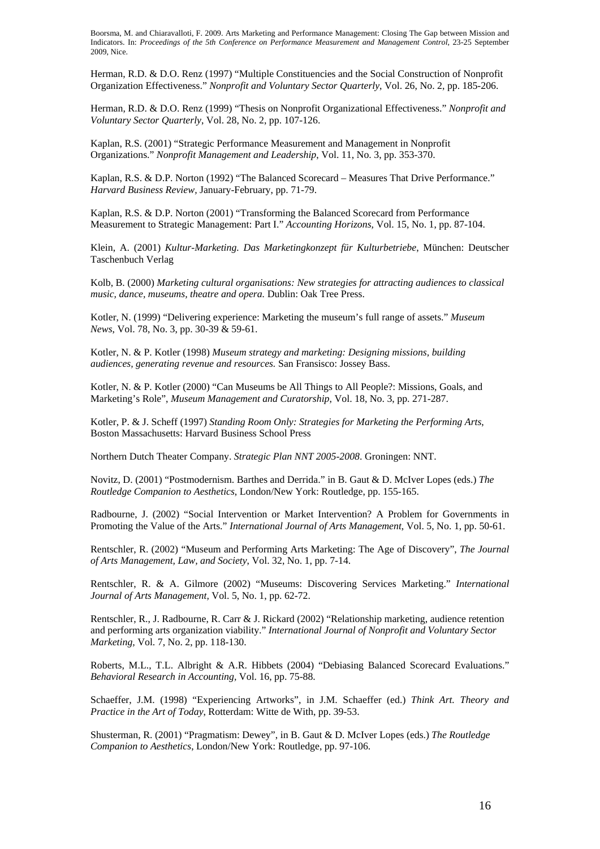Herman, R.D. & D.O. Renz (1997) "Multiple Constituencies and the Social Construction of Nonprofit Organization Effectiveness." *Nonprofit and Voluntary Sector Quarterly*, Vol. 26, No. 2, pp. 185-206.

Herman, R.D. & D.O. Renz (1999) "Thesis on Nonprofit Organizational Effectiveness." *Nonprofit and Voluntary Sector Quarterly*, Vol. 28, No. 2, pp. 107-126.

Kaplan, R.S. (2001) "Strategic Performance Measurement and Management in Nonprofit Organizations." *Nonprofit Management and Leadership*, Vol. 11, No. 3, pp. 353-370.

Kaplan, R.S. & D.P. Norton (1992) "The Balanced Scorecard – Measures That Drive Performance." *Harvard Business Review,* January-February, pp. 71-79.

Kaplan, R.S. & D.P. Norton (2001) "Transforming the Balanced Scorecard from Performance Measurement to Strategic Management: Part I." *Accounting Horizons,* Vol. 15, No. 1, pp. 87-104.

Klein, A. (2001) *Kultur-Marketing. Das Marketingkonzept für Kulturbetriebe*, München: Deutscher Taschenbuch Verlag

Kolb, B. (2000) *Marketing cultural organisations: New strategies for attracting audiences to classical music, dance, museums, theatre and opera.* Dublin: Oak Tree Press.

Kotler, N. (1999) "Delivering experience: Marketing the museum's full range of assets." *Museum News*, Vol. 78, No. 3, pp. 30-39 & 59-61.

Kotler, N. & P. Kotler (1998) *Museum strategy and marketing: Designing missions, building audiences, generating revenue and resources.* San Fransisco: Jossey Bass.

Kotler, N. & P. Kotler (2000) "Can Museums be All Things to All People?: Missions, Goals, and Marketing's Role", *Museum Management and Curatorship*, Vol. 18, No. 3, pp. 271-287.

Kotler, P. & J. Scheff (1997) *Standing Room Only: Strategies for Marketing the Performing Arts*, Boston Massachusetts: Harvard Business School Press

Northern Dutch Theater Company. *Strategic Plan NNT 2005-2008*. Groningen: NNT.

Novitz, D. (2001) "Postmodernism. Barthes and Derrida." in B. Gaut & D. McIver Lopes (eds.) *The Routledge Companion to Aesthetics*, London/New York: Routledge, pp. 155-165.

Radbourne, J. (2002) "Social Intervention or Market Intervention? A Problem for Governments in Promoting the Value of the Arts." *International Journal of Arts Management*, Vol. 5, No. 1, pp. 50-61.

Rentschler, R. (2002) "Museum and Performing Arts Marketing: The Age of Discovery", *The Journal of Arts Management, Law, and Society*, Vol. 32, No. 1, pp. 7-14.

Rentschler, R. & A. Gilmore (2002) "Museums: Discovering Services Marketing." *International Journal of Arts Management,* Vol. 5, No. 1, pp. 62-72.

Rentschler, R., J. Radbourne, R. Carr & J. Rickard (2002) "Relationship marketing, audience retention and performing arts organization viability." *International Journal of Nonprofit and Voluntary Sector Marketing,* Vol. 7, No. 2, pp. 118-130.

Roberts, M.L., T.L. Albright & A.R. Hibbets (2004) "Debiasing Balanced Scorecard Evaluations." *Behavioral Research in Accounting,* Vol. 16, pp. 75-88.

Schaeffer, J.M. (1998) "Experiencing Artworks", in J.M. Schaeffer (ed.) *Think Art. Theory and Practice in the Art of Today*, Rotterdam: Witte de With, pp. 39-53.

Shusterman, R. (2001) "Pragmatism: Dewey", in B. Gaut & D. McIver Lopes (eds.) *The Routledge Companion to Aesthetics*, London/New York: Routledge, pp. 97-106.